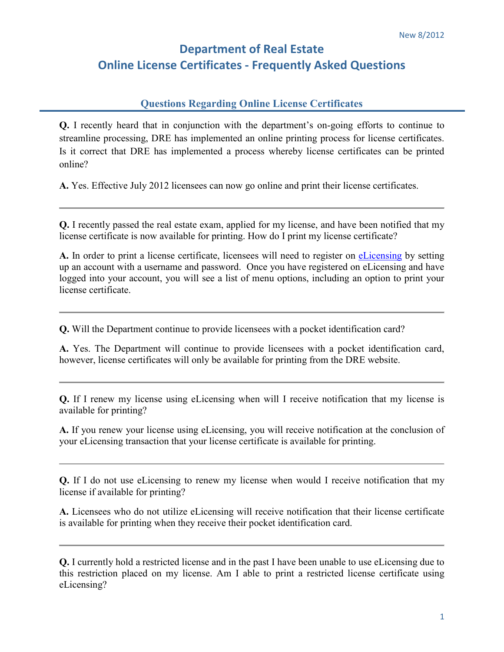## **Department of Real Estate Online License Certificates - Frequently Asked Questions**

## **Questions Regarding Online License Certificates**

**Q.** I recently heard that in conjunction with the department's on-going efforts to continue to streamline processing, DRE has implemented an online printing process for license certificates. Is it correct that DRE has implemented a process whereby license certificates can be printed online?

**A.** Yes. Effective July 2012 licensees can now go online and print their license certificates.

**Q.** I recently passed the real estate exam, applied for my license, and have been notified that my license certificate is now available for printing. How do I print my license certificate?

**A.** In order to print a license certificate, licensees will need to register on [eLicensing](https://secure.dre.ca.gov/elicensing/) by setting up an account with a username and password. Once you have registered on eLicensing and have logged into your account, you will see a list of menu options, including an option to print your license certificate.

**Q.** Will the Department continue to provide licensees with a pocket identification card?

**A.** Yes. The Department will continue to provide licensees with a pocket identification card, however, license certificates will only be available for printing from the DRE website.

**Q.** If I renew my license using eLicensing when will I receive notification that my license is available for printing?

**A.** If you renew your license using eLicensing, you will receive notification at the conclusion of your eLicensing transaction that your license certificate is available for printing.

**Q.** If I do not use eLicensing to renew my license when would I receive notification that my license if available for printing?

**A.** Licensees who do not utilize eLicensing will receive notification that their license certificate is available for printing when they receive their pocket identification card.

**Q.** I currently hold a restricted license and in the past I have been unable to use eLicensing due to this restriction placed on my license. Am I able to print a restricted license certificate using eLicensing?